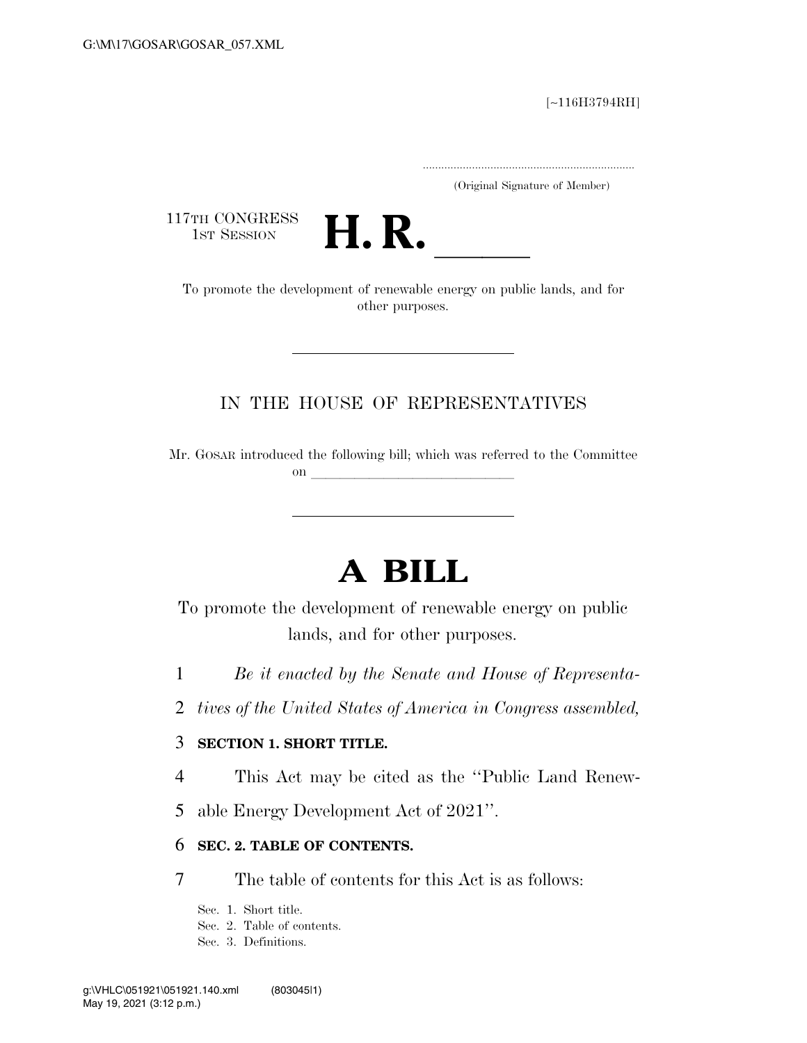#### [∼116H3794RH]

.....................................................................

(Original Signature of Member)

117TH CONGRESS<br>1st Session



TTH CONGRESS<br>1st SESSION **H. R.** <u>Industrial Conductions of renewable energy on public lands, and for</u> other purposes.

## IN THE HOUSE OF REPRESENTATIVES

Mr. GOSAR introduced the following bill; which was referred to the Committee on  $\mathcal{L}$ 

# **A BILL**

To promote the development of renewable energy on public lands, and for other purposes.

1 *Be it enacted by the Senate and House of Representa-*

2 *tives of the United States of America in Congress assembled,* 

#### 3 **SECTION 1. SHORT TITLE.**

4 This Act may be cited as the ''Public Land Renew-

5 able Energy Development Act of 2021''.

#### 6 **SEC. 2. TABLE OF CONTENTS.**

7 The table of contents for this Act is as follows:

Sec. 1. Short title.

Sec. 2. Table of contents.

Sec. 3. Definitions.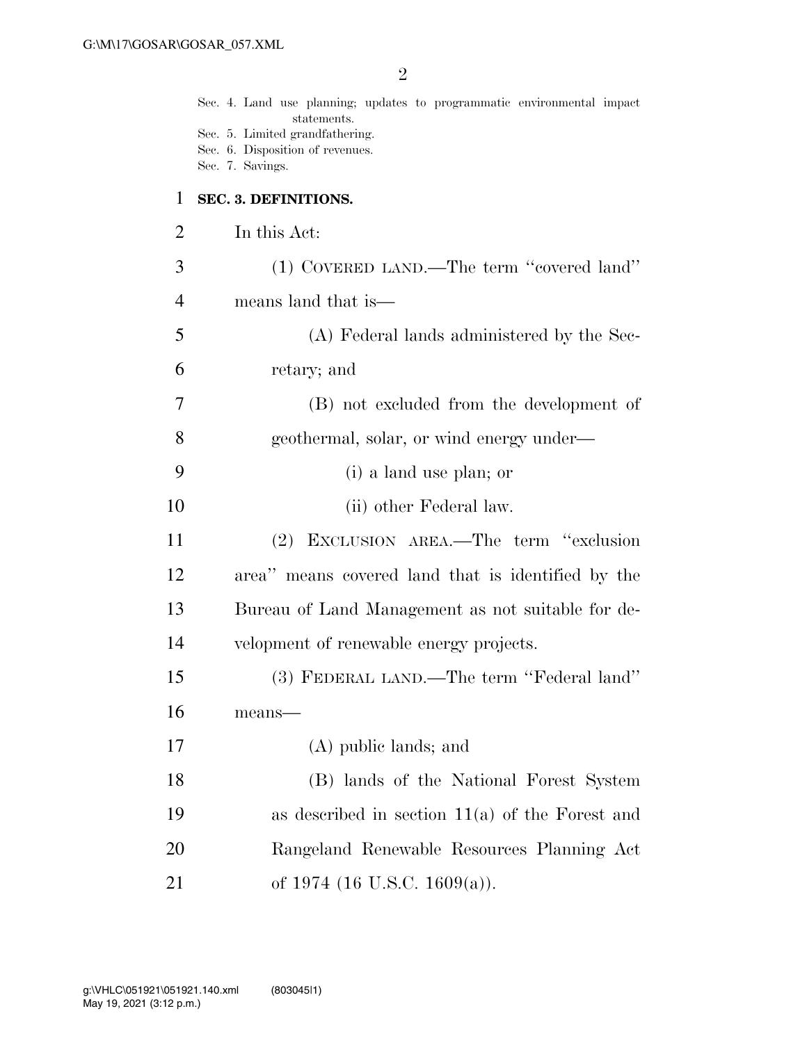Sec. 4. Land use planning; updates to programmatic environmental impact statements. Sec. 5. Limited grandfathering. Sec. 6. Disposition of revenues. Sec. 7. Savings. **SEC. 3. DEFINITIONS.**  In this Act: (1) COVERED LAND.—The term ''covered land'' means land that is— (A) Federal lands administered by the Sec- retary; and (B) not excluded from the development of geothermal, solar, or wind energy under— (i) a land use plan; or 10 (ii) other Federal law. (2) EXCLUSION AREA.—The term ''exclusion area'' means covered land that is identified by the Bureau of Land Management as not suitable for de- velopment of renewable energy projects. (3) FEDERAL LAND.—The term ''Federal land'' means— (A) public lands; and (B) lands of the National Forest System as described in section 11(a) of the Forest and Rangeland Renewable Resources Planning Act 21 of 1974 (16 U.S.C. 1609(a)).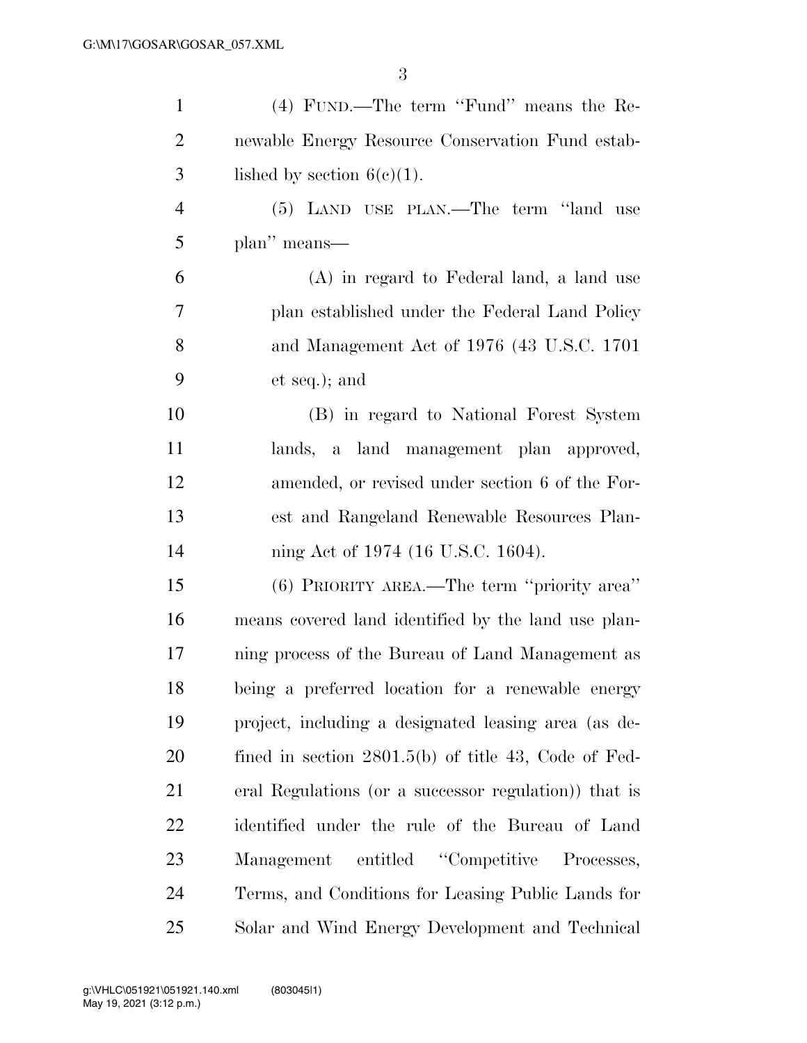| $\mathbf{1}$   | (4) FUND.—The term "Fund" means the Re-                |
|----------------|--------------------------------------------------------|
| $\overline{2}$ | newable Energy Resource Conservation Fund estab-       |
| 3              | lished by section $6(c)(1)$ .                          |
| $\overline{4}$ | (5) LAND USE PLAN.—The term "land use                  |
| 5              | plan" means-                                           |
| 6              | (A) in regard to Federal land, a land use              |
| 7              | plan established under the Federal Land Policy         |
| 8              | and Management Act of 1976 (43 U.S.C. 1701)            |
| 9              | et seq.); and                                          |
| 10             | (B) in regard to National Forest System                |
| 11             | lands, a land management plan approved,                |
| 12             | amended, or revised under section 6 of the For-        |
| 13             | est and Rangeland Renewable Resources Plan-            |
| 14             | ning Act of 1974 (16 U.S.C. 1604).                     |
| 15             | (6) PRIORITY AREA.—The term "priority area"            |
| 16             | means covered land identified by the land use plan-    |
| 17             | ning process of the Bureau of Land Management as       |
| 18             | being a preferred location for a renewable energy      |
| 19             | project, including a designated leasing area (as de-   |
| 20             | fined in section $2801.5(b)$ of title 43, Code of Fed- |
| 21             | eral Regulations (or a successor regulation)) that is  |
| 22             | identified under the rule of the Bureau of Land        |
| 23             | Management entitled "Competitive Processes,            |
| 24             | Terms, and Conditions for Leasing Public Lands for     |
| 25             | Solar and Wind Energy Development and Technical        |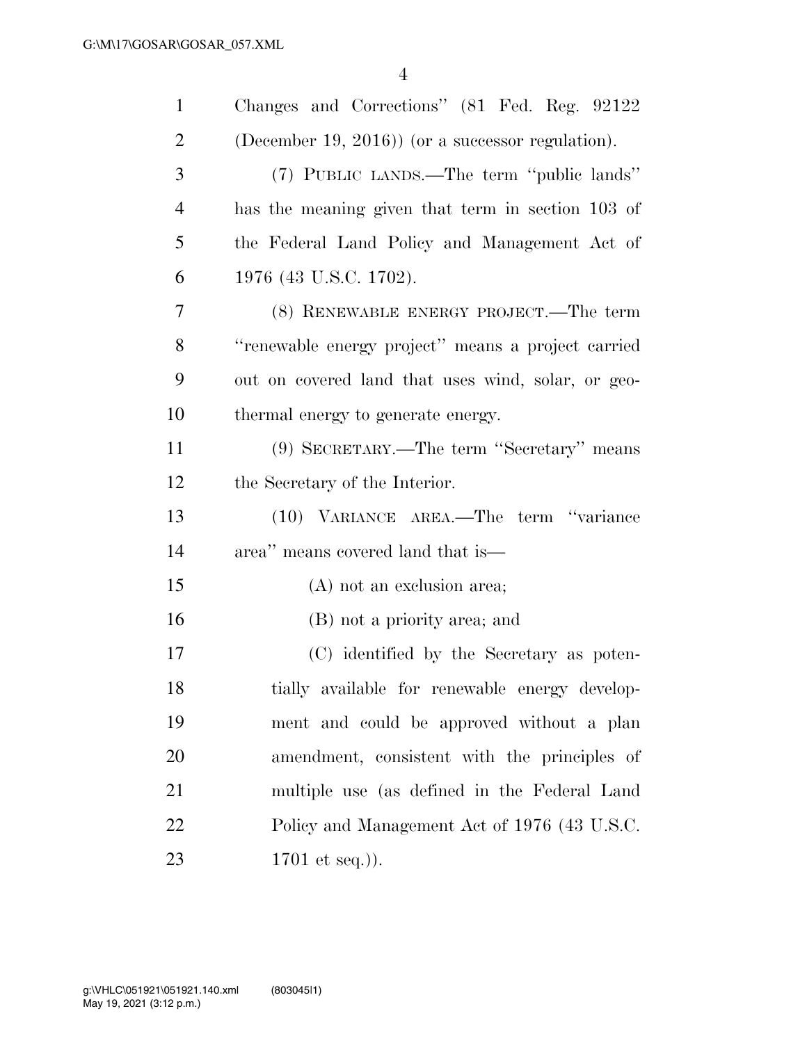| $\mathbf{1}$   | Changes and Corrections" (81 Fed. Reg. 92122       |
|----------------|----------------------------------------------------|
| $\overline{2}$ | (December 19, 2016)) (or a successor regulation).  |
| 3              | (7) PUBLIC LANDS.—The term "public lands"          |
| $\overline{4}$ | has the meaning given that term in section 103 of  |
| 5              | the Federal Land Policy and Management Act of      |
| 6              | 1976 (43 U.S.C. 1702).                             |
| 7              | (8) RENEWABLE ENERGY PROJECT.—The term             |
| 8              | "renewable energy project" means a project carried |
| 9              | out on covered land that uses wind, solar, or geo- |
| 10             | thermal energy to generate energy.                 |
| 11             | (9) SECRETARY.—The term "Secretary" means          |
| 12             | the Secretary of the Interior.                     |
| 13             | (10) VARIANCE AREA.—The term "variance             |
| 14             | area" means covered land that is—                  |
| 15             | (A) not an exclusion area;                         |
| 16             | (B) not a priority area; and                       |
| 17             | (C) identified by the Secretary as poten-          |
| 18             | tially available for renewable energy develop-     |
| 19             | ment and could be approved without a plan          |
| 20             | amendment, consistent with the principles of       |
| 21             | multiple use (as defined in the Federal Land       |
| 22             | Policy and Management Act of 1976 (43 U.S.C.       |
| 23             | 1701 et seq.).                                     |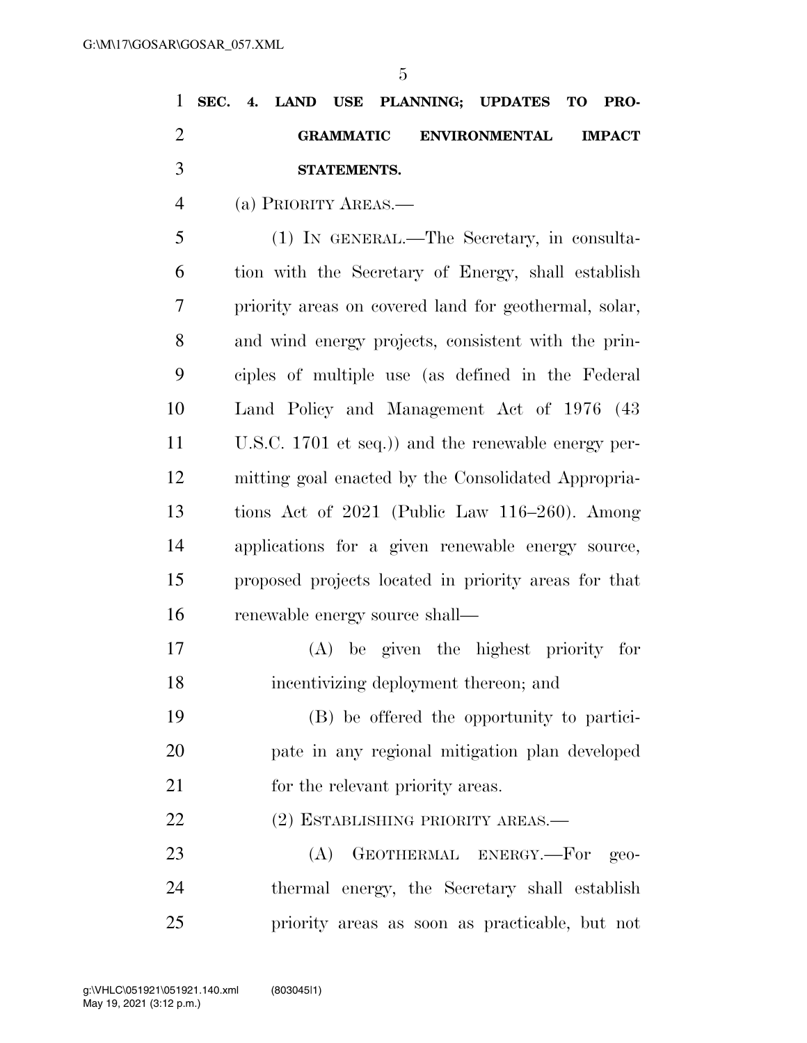|   |  |             |  | 1 SEC. 4. LAND USE PLANNING; UPDATES TO PRO- |  |
|---|--|-------------|--|----------------------------------------------|--|
|   |  |             |  | GRAMMATIC ENVIRONMENTAL IMPACT               |  |
| 3 |  | STATEMENTS. |  |                                              |  |

(a) PRIORITY AREAS.—

 (1) IN GENERAL.—The Secretary, in consulta- tion with the Secretary of Energy, shall establish priority areas on covered land for geothermal, solar, and wind energy projects, consistent with the prin- ciples of multiple use (as defined in the Federal Land Policy and Management Act of 1976 (43 U.S.C. 1701 et seq.)) and the renewable energy per- mitting goal enacted by the Consolidated Appropria- tions Act of 2021 (Public Law 116–260). Among applications for a given renewable energy source, proposed projects located in priority areas for that 16 renewable energy source shall—

 (A) be given the highest priority for incentivizing deployment thereon; and

 (B) be offered the opportunity to partici- pate in any regional mitigation plan developed 21 for the relevant priority areas.

(2) ESTABLISHING PRIORITY AREAS.—

23 (A) GEOTHERMAL ENERGY.—For geo- thermal energy, the Secretary shall establish priority areas as soon as practicable, but not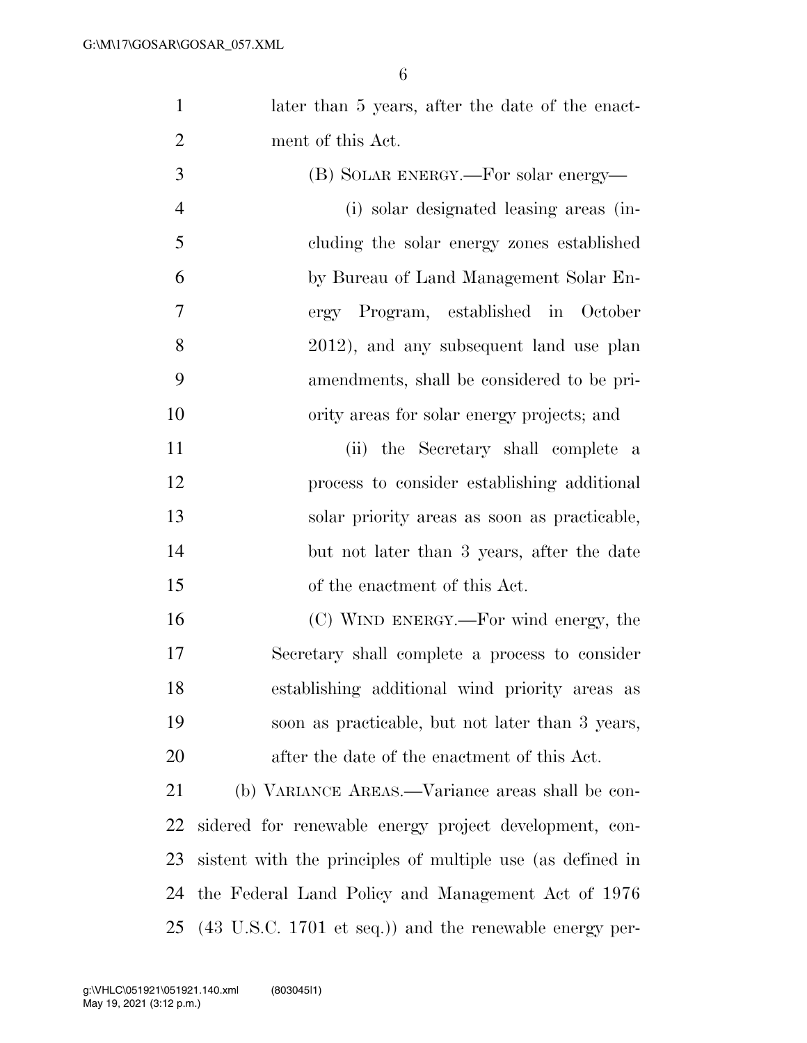1 later than 5 years, after the date of the enact-ment of this Act.

| 3              | (B) SOLAR ENERGY.—For solar energy—                        |
|----------------|------------------------------------------------------------|
| $\overline{4}$ | (i) solar designated leasing areas (in-                    |
| 5              | cluding the solar energy zones established                 |
| 6              | by Bureau of Land Management Solar En-                     |
| 7              | ergy Program, established in October                       |
| 8              | 2012), and any subsequent land use plan                    |
| 9              | amendments, shall be considered to be pri-                 |
| 10             | ority areas for solar energy projects; and                 |
| 11             | (ii) the Secretary shall complete a                        |
| 12             | process to consider establishing additional                |
| 13             | solar priority areas as soon as practicable,               |
| 14             | but not later than 3 years, after the date                 |
| 15             | of the enactment of this Act.                              |
| 16             | (C) WIND ENERGY.—For wind energy, the                      |
| 17             | Secretary shall complete a process to consider             |
| 18             | establishing additional wind priority areas as             |
| 19             | soon as practicable, but not later than 3 years,           |
| 20             | after the date of the enactment of this Act.               |
| 21             | (b) VARIANCE AREAS.—Variance areas shall be con-           |
| 22             | sidered for renewable energy project development, con-     |
| 23             | sistent with the principles of multiple use (as defined in |

(43 U.S.C. 1701 et seq.)) and the renewable energy per-

the Federal Land Policy and Management Act of 1976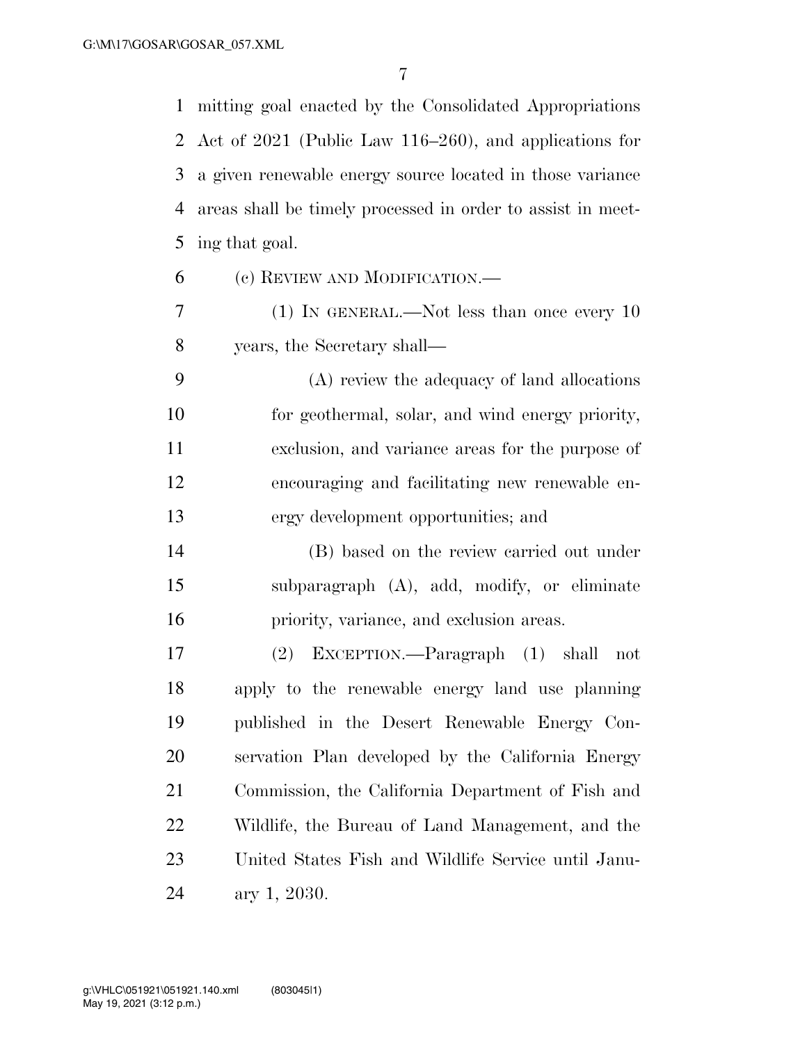mitting goal enacted by the Consolidated Appropriations Act of 2021 (Public Law 116–260), and applications for a given renewable energy source located in those variance areas shall be timely processed in order to assist in meet-ing that goal.

- (c) REVIEW AND MODIFICATION.—
- (1) IN GENERAL.—Not less than once every 10 years, the Secretary shall—

 (A) review the adequacy of land allocations for geothermal, solar, and wind energy priority, exclusion, and variance areas for the purpose of encouraging and facilitating new renewable en-ergy development opportunities; and

 (B) based on the review carried out under subparagraph (A), add, modify, or eliminate priority, variance, and exclusion areas.

 (2) EXCEPTION.—Paragraph (1) shall not apply to the renewable energy land use planning published in the Desert Renewable Energy Con- servation Plan developed by the California Energy Commission, the California Department of Fish and Wildlife, the Bureau of Land Management, and the United States Fish and Wildlife Service until Janu-ary 1, 2030.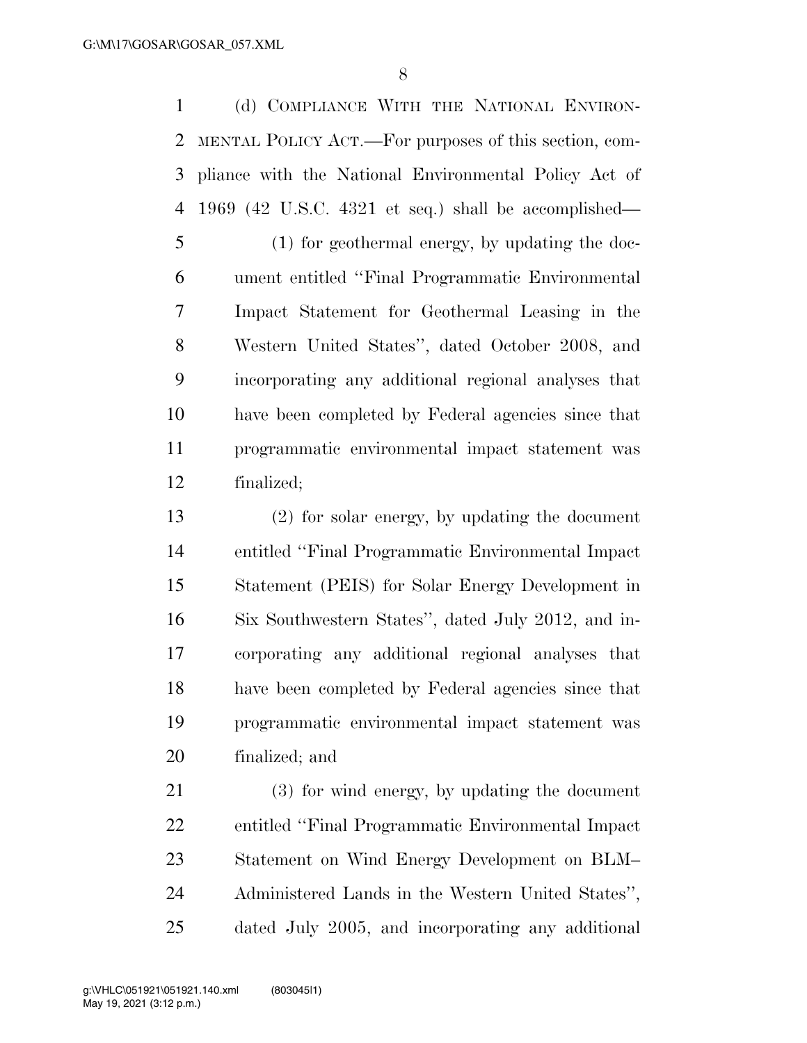(d) COMPLIANCE WITH THE NATIONAL ENVIRON- MENTAL POLICY ACT.—For purposes of this section, com- pliance with the National Environmental Policy Act of 1969 (42 U.S.C. 4321 et seq.) shall be accomplished—

 (1) for geothermal energy, by updating the doc- ument entitled ''Final Programmatic Environmental Impact Statement for Geothermal Leasing in the Western United States'', dated October 2008, and incorporating any additional regional analyses that have been completed by Federal agencies since that programmatic environmental impact statement was finalized;

 (2) for solar energy, by updating the document entitled ''Final Programmatic Environmental Impact Statement (PEIS) for Solar Energy Development in Six Southwestern States'', dated July 2012, and in- corporating any additional regional analyses that have been completed by Federal agencies since that programmatic environmental impact statement was finalized; and

 (3) for wind energy, by updating the document entitled ''Final Programmatic Environmental Impact Statement on Wind Energy Development on BLM– Administered Lands in the Western United States'', dated July 2005, and incorporating any additional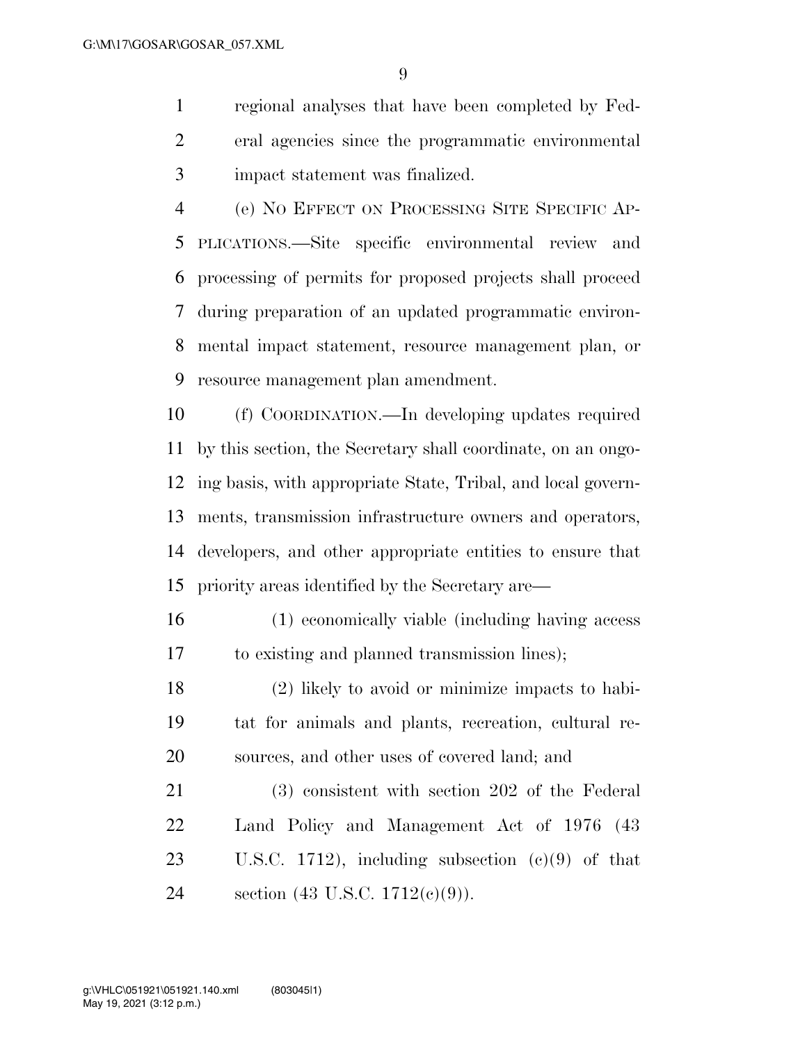regional analyses that have been completed by Fed- eral agencies since the programmatic environmental impact statement was finalized.

 (e) NO EFFECT ON PROCESSING SITE SPECIFIC AP- PLICATIONS.—Site specific environmental review and processing of permits for proposed projects shall proceed during preparation of an updated programmatic environ- mental impact statement, resource management plan, or resource management plan amendment.

 (f) COORDINATION.—In developing updates required by this section, the Secretary shall coordinate, on an ongo- ing basis, with appropriate State, Tribal, and local govern- ments, transmission infrastructure owners and operators, developers, and other appropriate entities to ensure that priority areas identified by the Secretary are—

- (1) economically viable (including having access to existing and planned transmission lines);
- (2) likely to avoid or minimize impacts to habi- tat for animals and plants, recreation, cultural re-sources, and other uses of covered land; and

 (3) consistent with section 202 of the Federal Land Policy and Management Act of 1976 (43 U.S.C. 1712), including subsection (c)(9) of that section (43 U.S.C. 1712(c)(9)).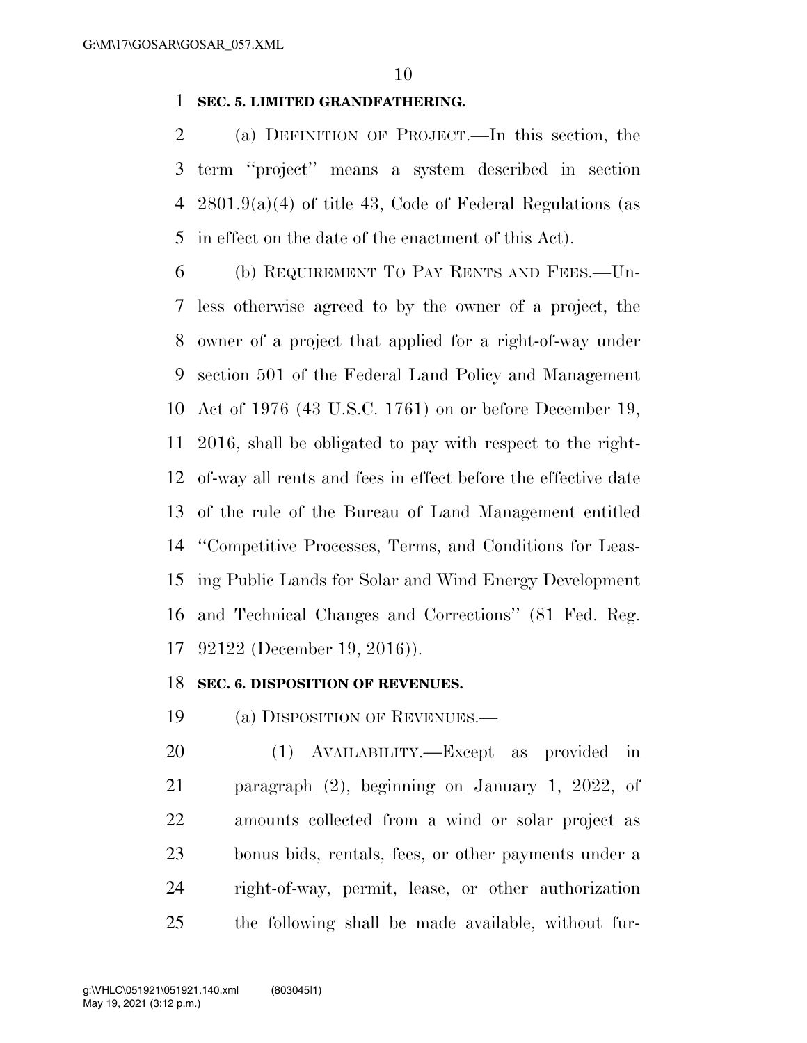### **SEC. 5. LIMITED GRANDFATHERING.**

 (a) DEFINITION OF PROJECT.—In this section, the term ''project'' means a system described in section 2801.9(a)(4) of title 43, Code of Federal Regulations (as in effect on the date of the enactment of this Act).

 (b) REQUIREMENT TO PAY RENTS AND FEES.—Un- less otherwise agreed to by the owner of a project, the owner of a project that applied for a right-of-way under section 501 of the Federal Land Policy and Management Act of 1976 (43 U.S.C. 1761) on or before December 19, 2016, shall be obligated to pay with respect to the right- of-way all rents and fees in effect before the effective date of the rule of the Bureau of Land Management entitled ''Competitive Processes, Terms, and Conditions for Leas- ing Public Lands for Solar and Wind Energy Development and Technical Changes and Corrections'' (81 Fed. Reg. 92122 (December 19, 2016)).

### **SEC. 6. DISPOSITION OF REVENUES.**

(a) DISPOSITION OF REVENUES.—

 (1) AVAILABILITY.—Except as provided in paragraph (2), beginning on January 1, 2022, of amounts collected from a wind or solar project as bonus bids, rentals, fees, or other payments under a right-of-way, permit, lease, or other authorization the following shall be made available, without fur-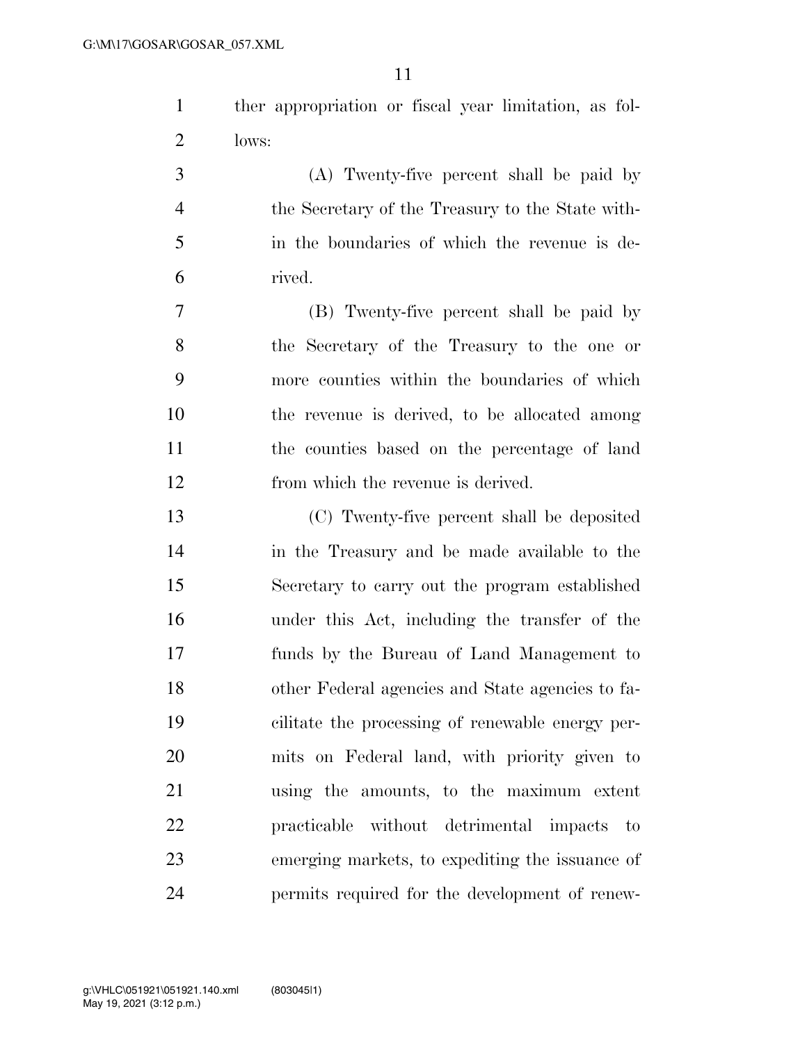| ther appropriation or fiscal year limitation, as fol- |  |  |  |
|-------------------------------------------------------|--|--|--|
| lows:                                                 |  |  |  |

 (A) Twenty-five percent shall be paid by the Secretary of the Treasury to the State with- in the boundaries of which the revenue is de-rived.

 (B) Twenty-five percent shall be paid by the Secretary of the Treasury to the one or more counties within the boundaries of which the revenue is derived, to be allocated among the counties based on the percentage of land from which the revenue is derived.

 (C) Twenty-five percent shall be deposited in the Treasury and be made available to the Secretary to carry out the program established under this Act, including the transfer of the funds by the Bureau of Land Management to other Federal agencies and State agencies to fa- cilitate the processing of renewable energy per- mits on Federal land, with priority given to using the amounts, to the maximum extent practicable without detrimental impacts to emerging markets, to expediting the issuance of permits required for the development of renew-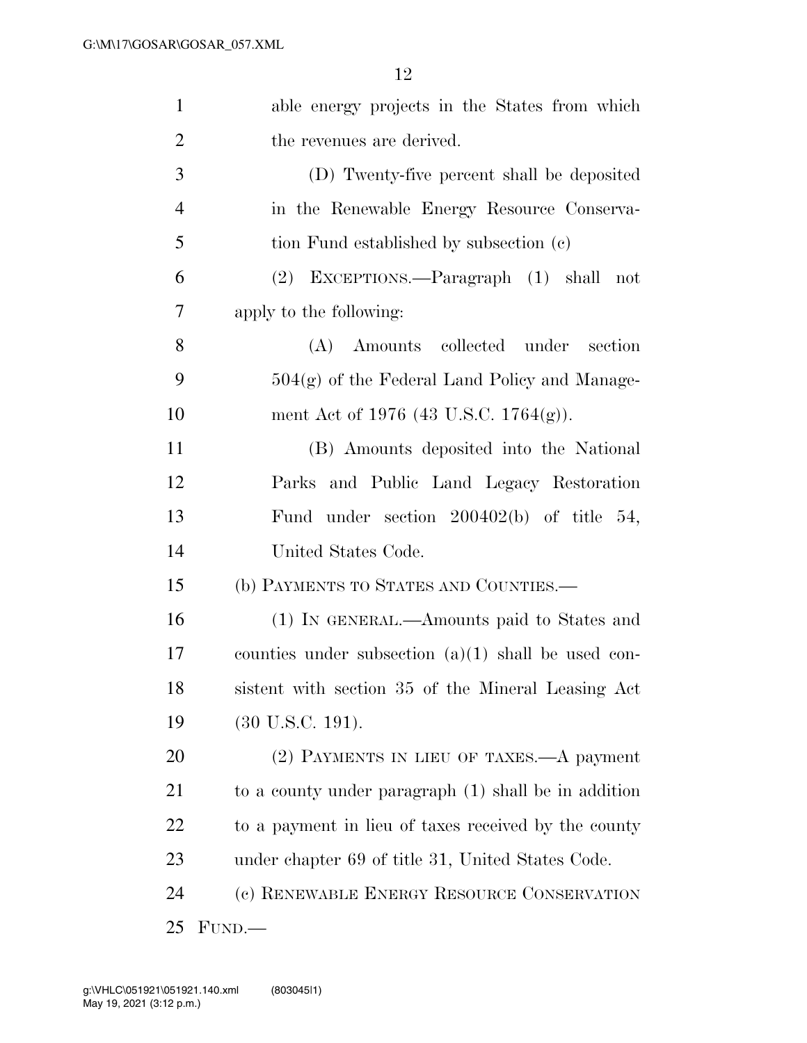| $\mathbf{1}$   | able energy projects in the States from which         |
|----------------|-------------------------------------------------------|
| $\overline{2}$ | the revenues are derived.                             |
| 3              | (D) Twenty-five percent shall be deposited            |
| 4              | in the Renewable Energy Resource Conserva-            |
| 5              | tion Fund established by subsection (c)               |
| 6              | (2) EXCEPTIONS.—Paragraph (1) shall<br>not            |
| 7              | apply to the following:                               |
| 8              | (A) Amounts collected under<br>section                |
| 9              | $504(g)$ of the Federal Land Policy and Manage-       |
| 10             | ment Act of 1976 (43 U.S.C. 1764(g)).                 |
| 11             | (B) Amounts deposited into the National               |
| 12             | Parks and Public Land Legacy Restoration              |
| 13             | Fund under section $200402(b)$ of title 54,           |
| 14             | United States Code.                                   |
| 15             | (b) PAYMENTS TO STATES AND COUNTIES.—                 |
| 16             | (1) IN GENERAL.—Amounts paid to States and            |
| 17             | counties under subsection $(a)(1)$ shall be used con- |
| 18             | sistent with section 35 of the Mineral Leasing Act    |
| 19             | $(30 \text{ U.S.C. } 191).$                           |
| 20             | (2) PAYMENTS IN LIEU OF TAXES.—A payment              |
| 21             | to a county under paragraph (1) shall be in addition  |
| 22             | to a payment in lieu of taxes received by the county  |
| 23             | under chapter 69 of title 31, United States Code.     |
| 24             | (c) RENEWABLE ENERGY RESOURCE CONSERVATION            |
| 25             | FUND.                                                 |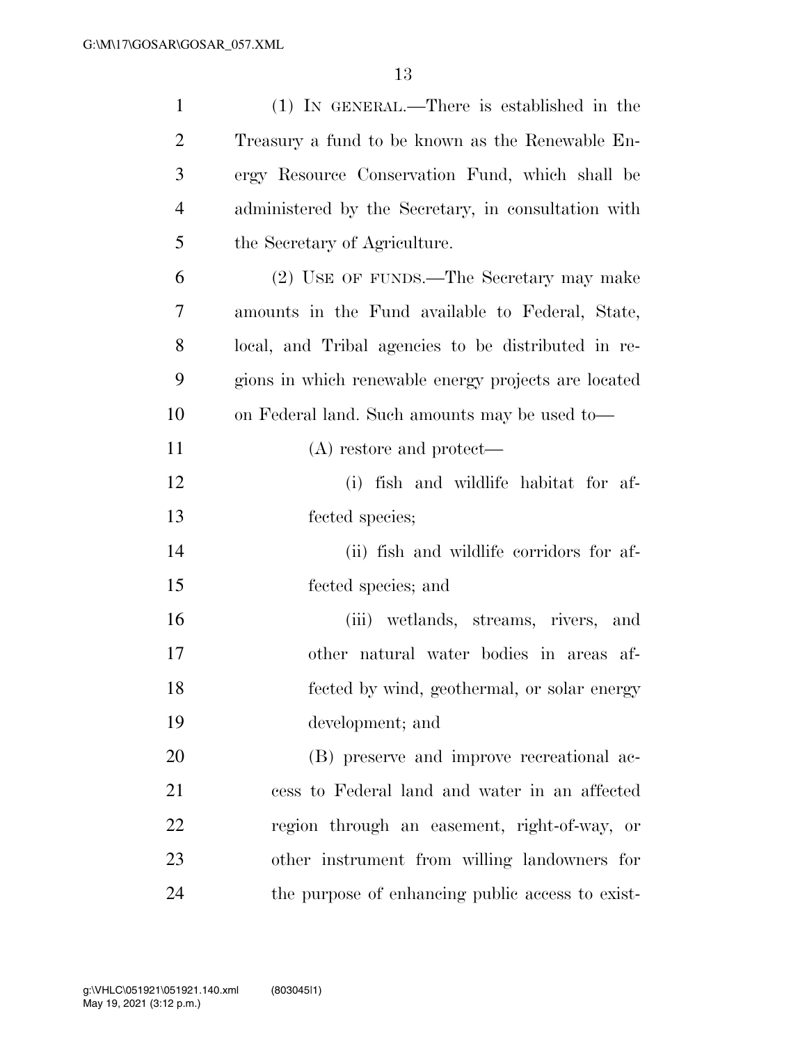| $\mathbf{1}$   | $(1)$ IN GENERAL.—There is established in the        |
|----------------|------------------------------------------------------|
| $\overline{2}$ | Treasury a fund to be known as the Renewable En-     |
| 3              | ergy Resource Conservation Fund, which shall be      |
| $\overline{4}$ | administered by the Secretary, in consultation with  |
| 5              | the Secretary of Agriculture.                        |
| 6              | (2) USE OF FUNDS.—The Secretary may make             |
| 7              | amounts in the Fund available to Federal, State,     |
| 8              | local, and Tribal agencies to be distributed in re-  |
| 9              | gions in which renewable energy projects are located |
| 10             | on Federal land. Such amounts may be used to-        |
| 11             | $(A)$ restore and protect—                           |
| 12             | (i) fish and wildlife habitat for af-                |
| 13             | fected species;                                      |
| 14             | (ii) fish and wildlife corridors for af-             |
| 15             | fected species; and                                  |
| 16             | (iii) wetlands, streams, rivers, and                 |
| 17             | other natural water bodies in areas af-              |
| 18             | fected by wind, geothermal, or solar energy          |
| 19             | development; and                                     |
| 20             | (B) preserve and improve recreational ac-            |
| 21             | cess to Federal land and water in an affected        |
| 22             | region through an easement, right-of-way, or         |
| 23             | other instrument from willing landowners for         |
| 24             | the purpose of enhancing public access to exist-     |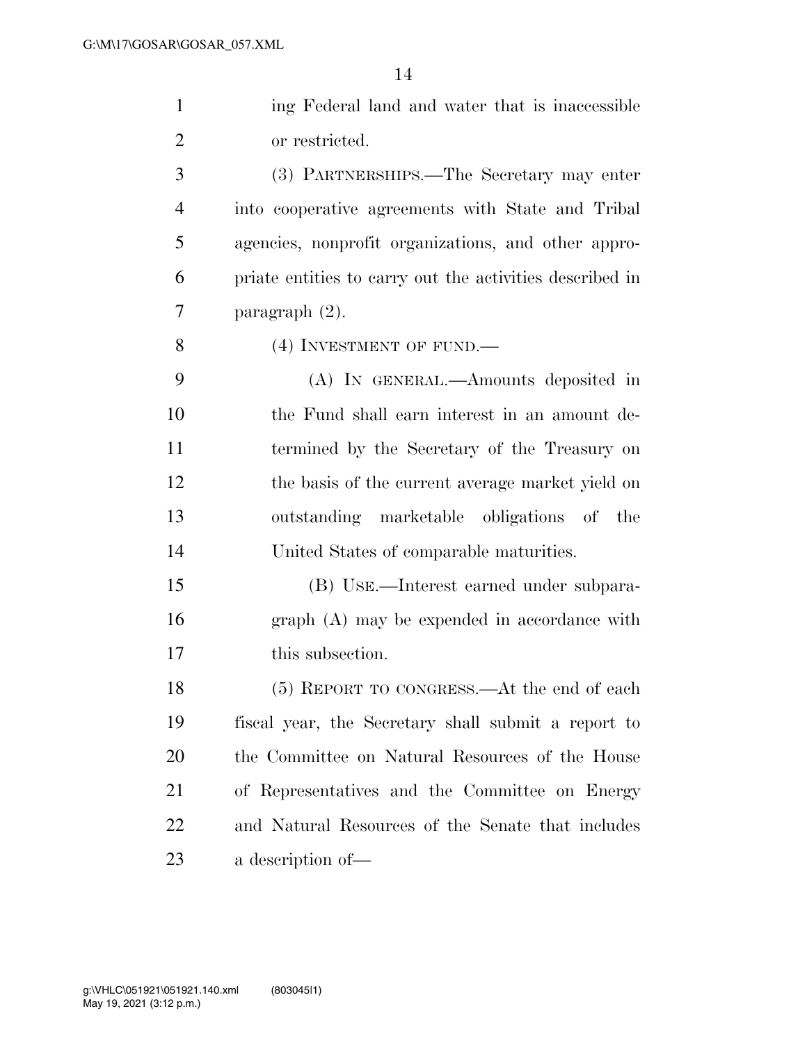| $\mathbf{1}$   | ing Federal land and water that is inaccessible          |
|----------------|----------------------------------------------------------|
| $\overline{2}$ | or restricted.                                           |
| 3              | (3) PARTNERSHIPS.—The Secretary may enter                |
| $\overline{4}$ | into cooperative agreements with State and Tribal        |
| 5              | agencies, nonprofit organizations, and other appro-      |
| 6              | priate entities to carry out the activities described in |
| 7              | paragraph $(2)$ .                                        |
| 8              | (4) INVESTMENT OF FUND.                                  |
| 9              | (A) IN GENERAL.—Amounts deposited in                     |
| 10             | the Fund shall earn interest in an amount de-            |
| 11             | termined by the Secretary of the Treasury on             |
| 12             | the basis of the current average market yield on         |
| 13             | outstanding marketable obligations of the                |
| 14             | United States of comparable maturities.                  |
| 15             | (B) USE.—Interest earned under subpara-                  |
| 16             | graph (A) may be expended in accordance with             |
| 17             | this subsection.                                         |
| 18             | (5) REPORT TO CONGRESS.—At the end of each               |
| 19             | fiscal year, the Secretary shall submit a report to      |
| 20             | the Committee on Natural Resources of the House          |

of Representatives and the Committee on Energy

and Natural Resources of the Senate that includes

a description of—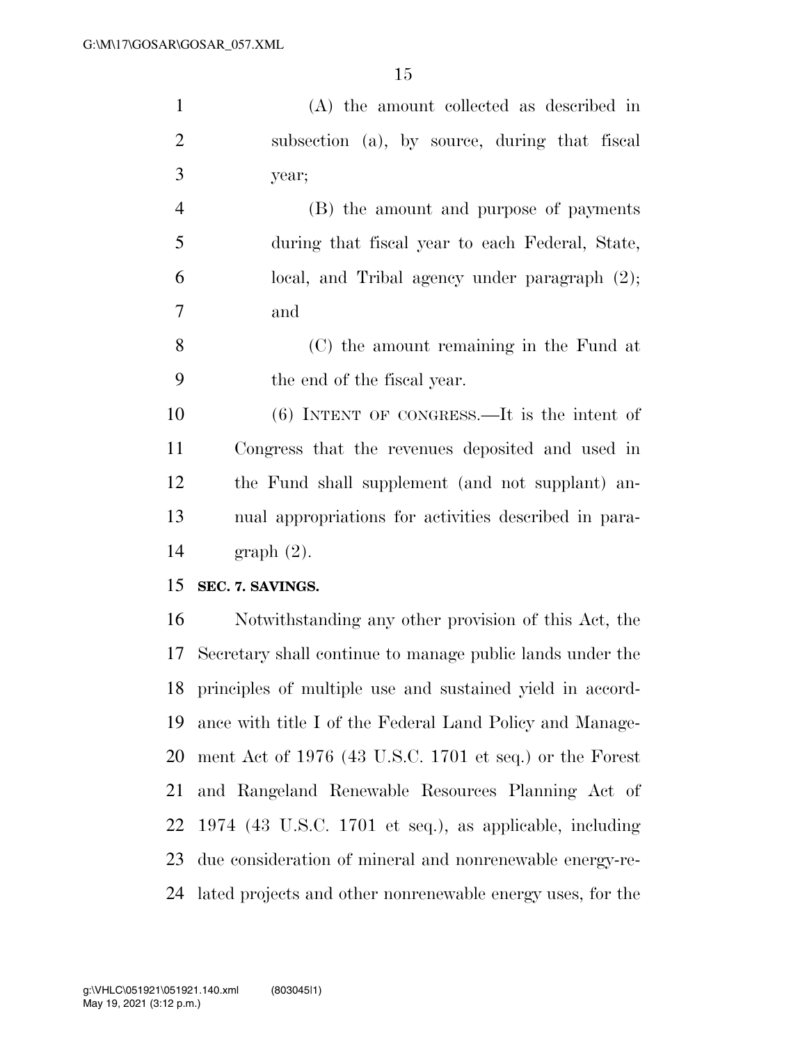| $\mathbf{1}$   | (A) the amount collected as described in                   |
|----------------|------------------------------------------------------------|
| $\overline{2}$ | subsection (a), by source, during that fiscal              |
| 3              | year;                                                      |
| $\overline{4}$ | (B) the amount and purpose of payments                     |
| 5              | during that fiscal year to each Federal, State,            |
| 6              | local, and Tribal agency under paragraph $(2)$ ;           |
| 7              | and                                                        |
| 8              | (C) the amount remaining in the Fund at                    |
| 9              | the end of the fiscal year.                                |
| 10             | $(6)$ INTENT OF CONGRESS.—It is the intent of              |
| 11             | Congress that the revenues deposited and used in           |
| 12             | the Fund shall supplement (and not supplant) an-           |
| 13             | nual appropriations for activities described in para-      |
| 14             | $graph(2)$ .                                               |
| 15             | SEC. 7. SAVINGS.                                           |
| 16             | Notwithstanding any other provision of this Act, the       |
| 17             | Secretary shall continue to manage public lands under the  |
| 18             | principles of multiple use and sustained yield in accord-  |
| 19             | ance with title I of the Federal Land Policy and Manage-   |
| 20             | ment Act of 1976 (43 U.S.C. 1701 et seq.) or the Forest    |
| 21             | and Rangeland Renewable Resources Planning Act of          |
| 22             | $1974$ (43 U.S.C. 1701 et seq.), as applicable, including  |
| 23             | due consideration of mineral and nonrenewable energy-re-   |
| 24             | lated projects and other nonrenewable energy uses, for the |